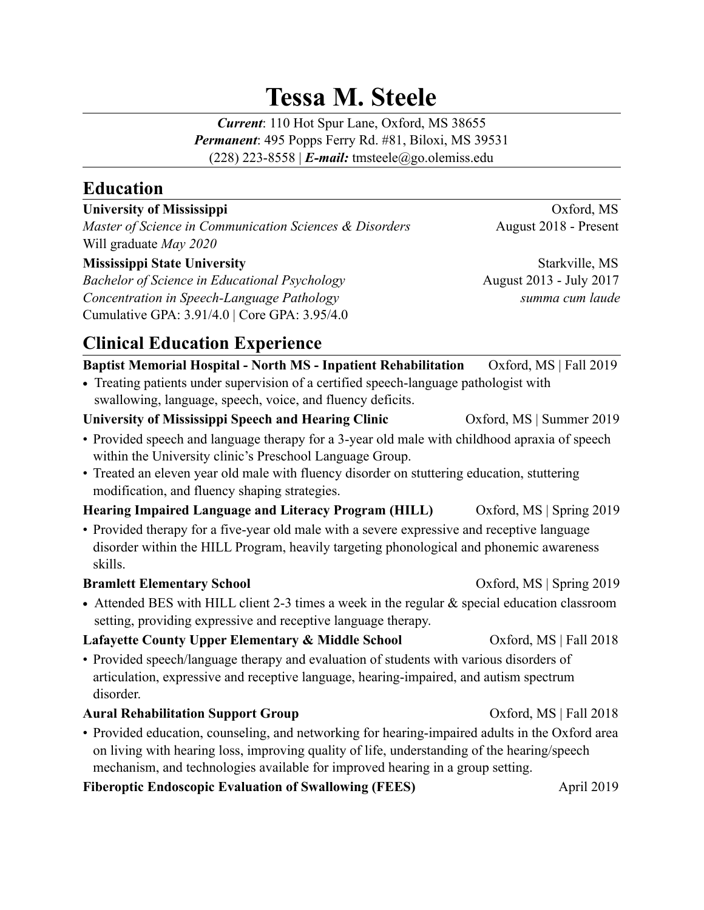# **Tessa M. Steele**

*Current*: 110 Hot Spur Lane, Oxford, MS 38655 *Permanent*: 495 Popps Ferry Rd. #81, Biloxi, MS 39531 (228) 223-8558 | *E-mail:* tmsteele@go.olemiss.edu

## **Education**

#### **University of Mississippi** Oxford, MS

*Master of Science in Communication Sciences & Disorders* August 2018 - Present Will graduate *May 2020*

#### **Mississippi State University Starkville, MS Starkville, MS Starkville, MS**

*Bachelor of Science in Educational Psychology* **August 2013** - July 2017 *Concentration in Speech-Language Pathology summa cum laude* Cumulative GPA: 3.91/4.0 | Core GPA: 3.95/4.0

# **Clinical Education Experience**

#### **Baptist Memorial Hospital - North MS - Inpatient Rehabilitation** Oxford, MS | Fall 2019

**•** Treating patients under supervision of a certified speech-language pathologist with swallowing, language, speech, voice, and fluency deficits.

### **University of Mississippi Speech and Hearing Clinic Conservation Conservation Conservation Conservation Conservation Conservation Conservation Conservation Conservation Conservation Conservation Conservation Conservation** • Provided speech and language therapy for a 3-year old male with childhood apraxia of speech

within the University clinic's Preschool Language Group. • Treated an eleven year old male with fluency disorder on stuttering education, stuttering modification, and fluency shaping strategies.

#### **Hearing Impaired Language and Literacy Program (HILL)** Oxford, MS | Spring 2019

• Provided therapy for a five-year old male with a severe expressive and receptive language disorder within the HILL Program, heavily targeting phonological and phonemic awareness skills.

#### **Bramlett Elementary School Case Concrete Concrete Concrete Concrete Concrete Concrete Concrete Concrete Concrete Concrete Concrete Concrete Concrete Concrete Concrete Concrete Concrete Concrete Concrete Concrete Concrete**

• Attended BES with HILL client 2-3 times a week in the regular  $\&$  special education classroom setting, providing expressive and receptive language therapy.

#### **Lafayette County Upper Elementary & Middle School Cassacter County Upper Elementary & Middle School Cassacter County Upper Elementary & Middle School Cassacter Oxford, MS | Fall 2018**

• Provided speech/language therapy and evaluation of students with various disorders of articulation, expressive and receptive language, hearing-impaired, and autism spectrum disorder.

#### **Aural Rehabilitation Support Group**   $Oxford, MS | Fall 2018$

• Provided education, counseling, and networking for hearing-impaired adults in the Oxford area on living with hearing loss, improving quality of life, understanding of the hearing/speech mechanism, and technologies available for improved hearing in a group setting.

#### **Fiberoptic Endoscopic Evaluation of Swallowing (FEES)** April 2019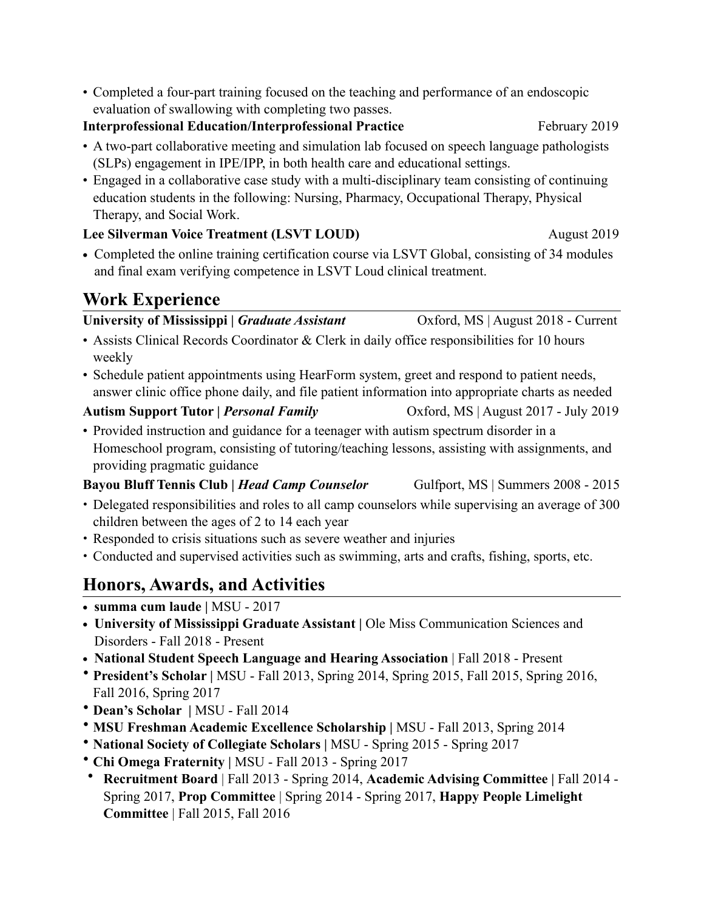• Completed a four-part training focused on the teaching and performance of an endoscopic evaluation of swallowing with completing two passes.

#### **Interprofessional Education/Interprofessional Practice February 2019**

- A two-part collaborative meeting and simulation lab focused on speech language pathologists (SLPs) engagement in IPE/IPP, in both health care and educational settings.
- Engaged in a collaborative case study with a multi-disciplinary team consisting of continuing education students in the following: Nursing, Pharmacy, Occupational Therapy, Physical Therapy, and Social Work.

#### **Lee Silverman Voice Treatment (LSVT LOUD)** August 2019

• Completed the online training certification course via LSVT Global, consisting of 34 modules and final exam verifying competence in LSVT Loud clinical treatment.

# **Work Experience**

University of Mississippi | *Graduate Assistant* **Canadian COXFORD**, MS | August 2018 - Current

- Assists Clinical Records Coordinator & Clerk in daily office responsibilities for 10 hours weekly
- Schedule patient appointments using HearForm system, greet and respond to patient needs, answer clinic office phone daily, and file patient information into appropriate charts as needed

#### **Autism Support Tutor |** *Personal Family*Oxford, MS | August 2017 - July 2019

• Provided instruction and guidance for a teenager with autism spectrum disorder in a Homeschool program, consisting of tutoring/teaching lessons, assisting with assignments, and providing pragmatic guidance

#### **Bayou Bluff Tennis Club |** *Head Camp Counselor* Gulfport, MS | Summers 2008 - 2015

- Delegated responsibilities and roles to all camp counselors while supervising an average of 300 children between the ages of 2 to 14 each year
- Responded to crisis situations such as severe weather and injuries
- Conducted and supervised activities such as swimming, arts and crafts, fishing, sports, etc.

# **Honors, Awards, and Activities**

- **• summa cum laude |** MSU 2017
- University of Mississippi Graduate Assistant | Ole Miss Communication Sciences and Disorders - Fall 2018 - Present
- **• National Student Speech Language and Hearing Association** | Fall 2018 Present
- **President's Scholar |** MSU Fall 2013, Spring 2014, Spring 2015, Fall 2015, Spring 2016, Fall 2016, Spring 2017
- **Dean's Scholar |** MSU Fall 2014
- **MSU Freshman Academic Excellence Scholarship |** MSU Fall 2013, Spring 2014
- **National Society of Collegiate Scholars |** MSU Spring 2015 Spring 2017
- **Chi Omega Fraternity |** MSU Fall 2013 Spring 2017
- **Recruitment Board** | Fall 2013 Spring 2014, **Academic Advising Committee |** Fall 2014 Spring 2017, **Prop Committee** | Spring 2014 - Spring 2017, **Happy People Limelight Committee** | Fall 2015, Fall 2016